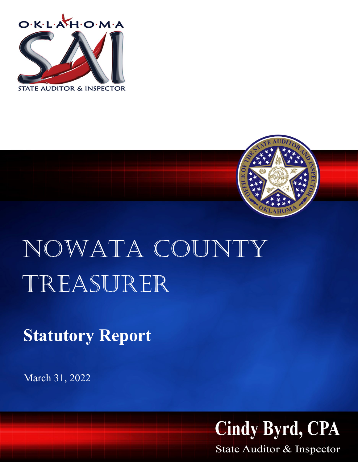



## nowata county Treasurer

**Statutory Report**

March 31, 2022



State Auditor & Inspector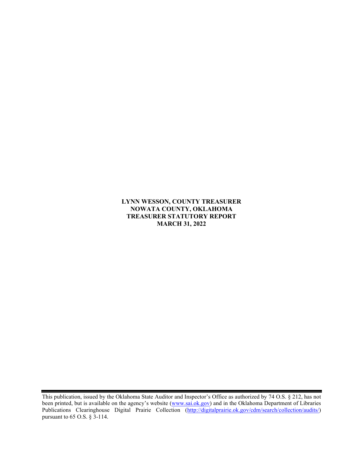**LYNN WESSON, COUNTY TREASURER NOWATA COUNTY, OKLAHOMA TREASURER STATUTORY REPORT MARCH 31, 2022**

This publication, issued by the Oklahoma State Auditor and Inspector's Office as authorized by 74 O.S. § 212, has not been printed, but is available on the agency's website [\(www.sai.ok.gov\)](http://www.sai.ok.gov/) and in the Oklahoma Department of Libraries Publications Clearinghouse Digital Prairie Collection [\(http://digitalprairie.ok.gov/cdm/search/collection/audits/\)](http://digitalprairie.ok.gov/cdm/search/collection/audits/) pursuant to 65 O.S. § 3-114.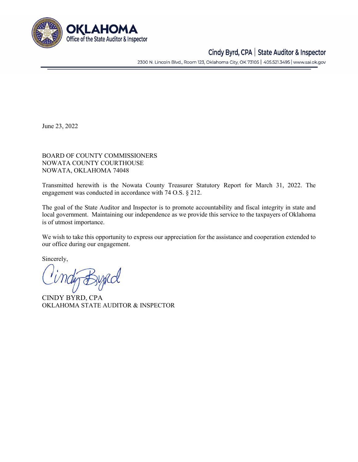

## Cindy Byrd, CPA | State Auditor & Inspector

2300 N. Lincoln Blvd., Room 123, Oklahoma City, OK 73105 | 405.521.3495 | www.sai.ok.gov

June 23, 2022

BOARD OF COUNTY COMMISSIONERS NOWATA COUNTY COURTHOUSE NOWATA, OKLAHOMA 74048

Transmitted herewith is the Nowata County Treasurer Statutory Report for March 31, 2022. The engagement was conducted in accordance with 74 O.S. § 212.

The goal of the State Auditor and Inspector is to promote accountability and fiscal integrity in state and local government. Maintaining our independence as we provide this service to the taxpayers of Oklahoma is of utmost importance.

We wish to take this opportunity to express our appreciation for the assistance and cooperation extended to our office during our engagement.

Sincerely,

tig Bypcol

CINDY BYRD, CPA OKLAHOMA STATE AUDITOR & INSPECTOR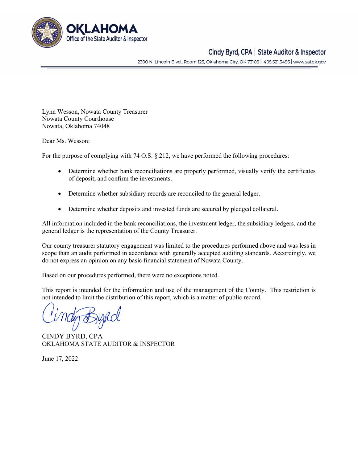

## Cindy Byrd, CPA | State Auditor & Inspector

2300 N. Lincoln Blvd., Room 123, Oklahoma City, OK 73105 | 405.521.3495 | www.sai.ok.gov

Lynn Wesson, Nowata County Treasurer Nowata County Courthouse Nowata, Oklahoma 74048

Dear Ms. Wesson:

For the purpose of complying with 74 O.S. § 212, we have performed the following procedures:

- Determine whether bank reconciliations are properly performed, visually verify the certificates of deposit, and confirm the investments.
- Determine whether subsidiary records are reconciled to the general ledger.
- Determine whether deposits and invested funds are secured by pledged collateral.

All information included in the bank reconciliations, the investment ledger, the subsidiary ledgers, and the general ledger is the representation of the County Treasurer.

Our county treasurer statutory engagement was limited to the procedures performed above and was less in scope than an audit performed in accordance with generally accepted auditing standards. Accordingly, we do not express an opinion on any basic financial statement of Nowata County.

Based on our procedures performed, there were no exceptions noted.

This report is intended for the information and use of the management of the County. This restriction is not intended to limit the distribution of this report, which is a matter of public record.

CINDY BYRD, CPA OKLAHOMA STATE AUDITOR & INSPECTOR

June 17, 2022